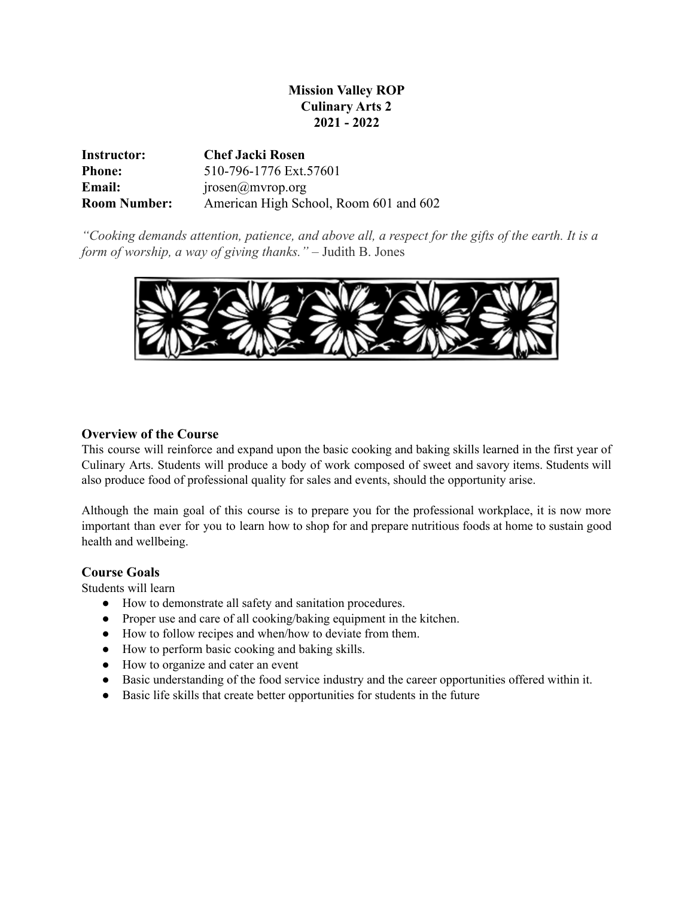# **Mission Valley ROP Culinary Arts 2 2021 - 2022**

| Instructor:         | <b>Chef Jacki Rosen</b>                 |
|---------------------|-----------------------------------------|
| <b>Phone:</b>       | 510-796-1776 Ext.57601                  |
| <b>Email:</b>       | $\text{iposen}(\hat{\omega})$ mvrop.org |
| <b>Room Number:</b> | American High School, Room 601 and 602  |

*"Cooking demands attention, patience, and above all, a respect for the gifts of the earth. It is a form of worship, a way of giving thanks."* – Judith B. Jones



## **Overview of the Course**

This course will reinforce and expand upon the basic cooking and baking skills learned in the first year of Culinary Arts. Students will produce a body of work composed of sweet and savory items. Students will also produce food of professional quality for sales and events, should the opportunity arise.

Although the main goal of this course is to prepare you for the professional workplace, it is now more important than ever for you to learn how to shop for and prepare nutritious foods at home to sustain good health and wellbeing.

## **Course Goals**

Students will learn

- How to demonstrate all safety and sanitation procedures.
- Proper use and care of all cooking/baking equipment in the kitchen.
- How to follow recipes and when/how to deviate from them.
- How to perform basic cooking and baking skills.
- How to organize and cater an event
- Basic understanding of the food service industry and the career opportunities offered within it.
- Basic life skills that create better opportunities for students in the future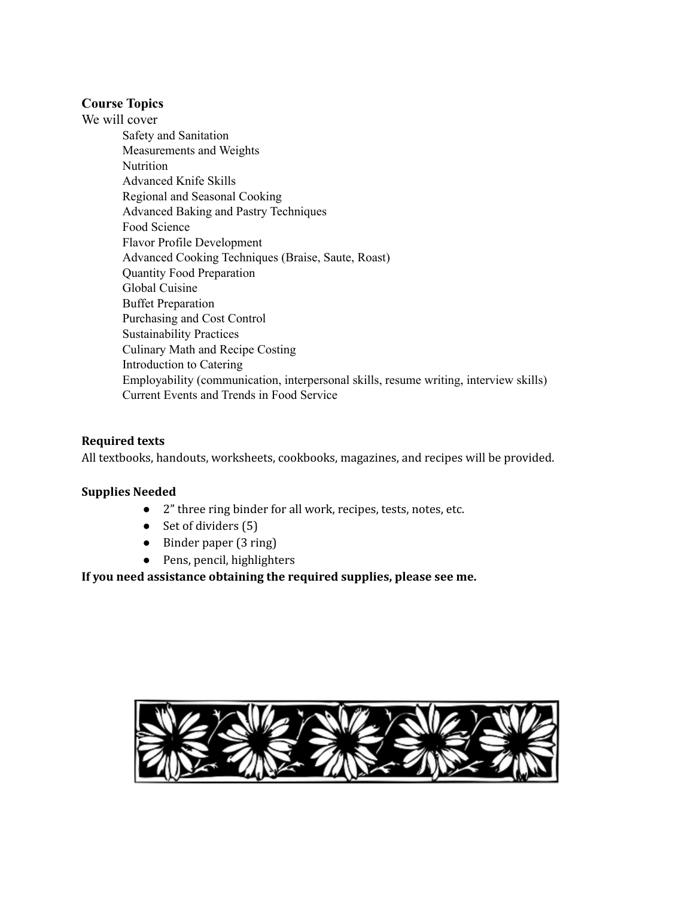## **Course Topics**

We will cover Safety and Sanitation Measurements and Weights Nutrition Advanced Knife Skills Regional and Seasonal Cooking Advanced Baking and Pastry Techniques Food Science Flavor Profile Development Advanced Cooking Techniques (Braise, Saute, Roast) Quantity Food Preparation Global Cuisine Buffet Preparation Purchasing and Cost Control Sustainability Practices Culinary Math and Recipe Costing Introduction to Catering Employability (communication, interpersonal skills, resume writing, interview skills) Current Events and Trends in Food Service

## **Required texts**

All textbooks, handouts, worksheets, cookbooks, magazines, and recipes will be provided.

## **Supplies Needed**

- 2" three ring binder for all work, recipes, tests, notes, etc.
- Set of dividers (5)
- Binder paper (3 ring)
- Pens, pencil, highlighters

**If you need assistance obtaining the required supplies, please see me.**

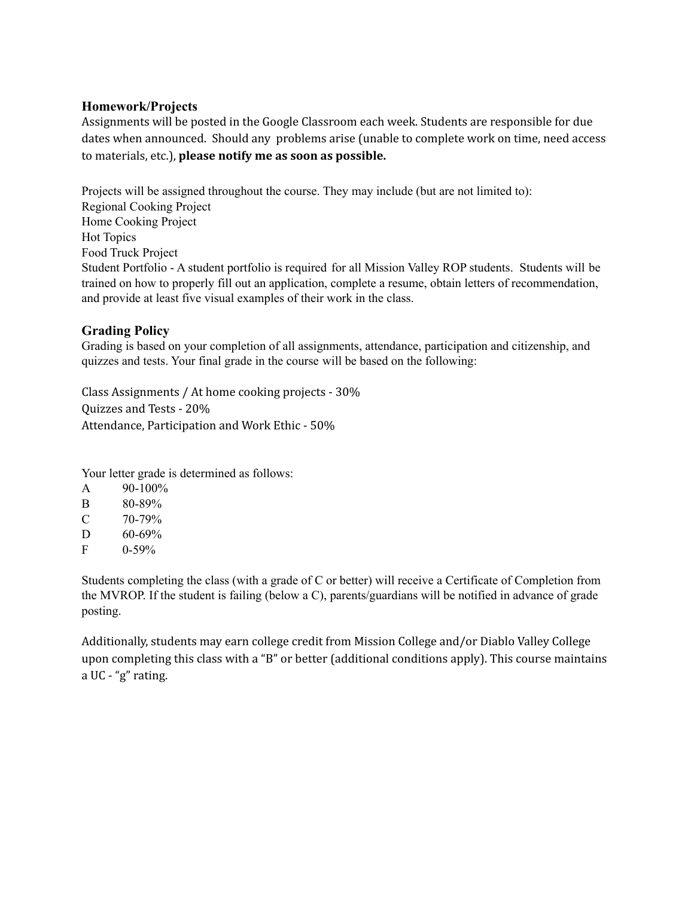## **Homework/Projects**

Assignments will be posted in the Google Classroom each week. Students are responsible for due dates when announced. Should any problems arise (unable to complete work on time, need access to materials, etc.), **please notify me as soon as possible.**

Projects will be assigned throughout the course. They may include (but are not limited to): Regional Cooking Project Home Cooking Project Hot Topics Food Truck Project Student Portfolio - A student portfolio is required for all Mission Valley ROP students. Students will be trained on how to properly fill out an application, complete a resume, obtain letters of recommendation, and provide at least five visual examples of their work in the class.

## **Grading Policy**

Grading is based on your completion of all assignments, attendance, participation and citizenship, and quizzes and tests. Your final grade in the course will be based on the following:

Class Assignments / At home cooking projects - 30% Quizzes and Tests - 20% Attendance, Participation and Work Ethic - 50%

Your letter grade is determined as follows:

| A | $90 - 100\%$ |
|---|--------------|
|   |              |

- $C = 70-79%$
- D  $60-69%$
- $F = 0.59\%$

Students completing the class (with a grade of C or better) will receive a Certificate of Completion from the MVROP. If the student is failing (below a C), parents/guardians will be notified in advance of grade posting.

Additionally, students may earn college credit from Mission College and/or Diablo Valley College upon completing this class with a "B" or better (additional conditions apply). This course maintains a UC - "g" rating.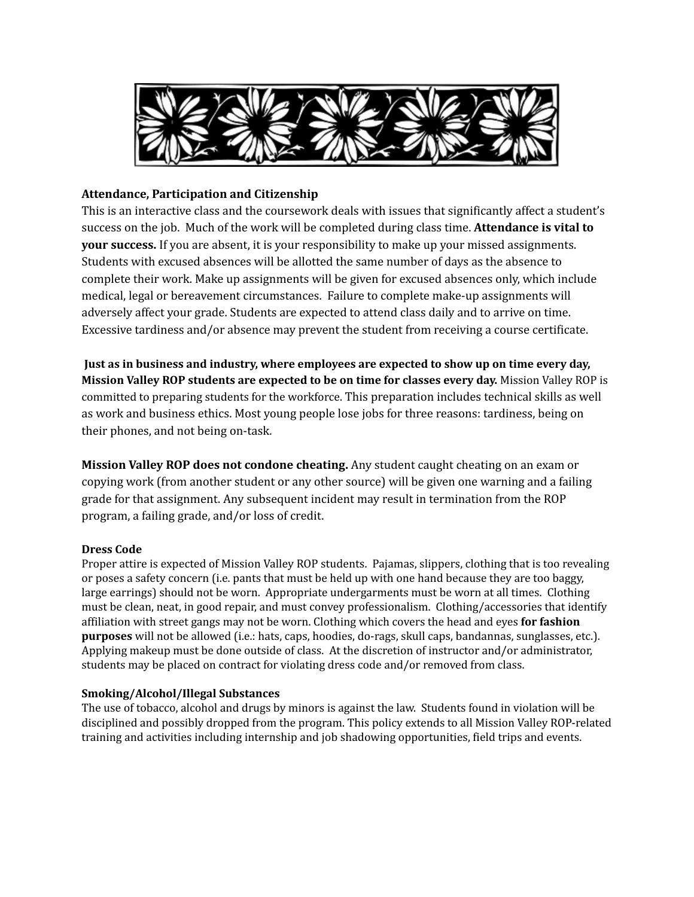

## **Attendance, Participation and Citizenship**

This is an interactive class and the coursework deals with issues that significantly affect a student's success on the job. Much of the work will be completed during class time. **Attendance is vital to your success.** If you are absent, it is your responsibility to make up your missed assignments. Students with excused absences will be allotted the same number of days as the absence to complete their work. Make up assignments will be given for excused absences only, which include medical, legal or bereavement circumstances. Failure to complete make-up assignments will adversely affect your grade. Students are expected to attend class daily and to arrive on time. Excessive tardiness and/or absence may prevent the student from receiving a course certificate.

**Just as in business and industry, where employees are expected to show up on time every day, Mission Valley ROP students are expected to be on time for classes every day.** Mission Valley ROP is committed to preparing students for the workforce. This preparation includes technical skills as well as work and business ethics. Most young people lose jobs for three reasons: tardiness, being on their phones, and not being on-task.

**Mission Valley ROP does not condone cheating.** Any student caught cheating on an exam or copying work (from another student or any other source) will be given one warning and a failing grade for that assignment. Any subsequent incident may result in termination from the ROP program, a failing grade, and/or loss of credit.

#### **Dress Code**

Proper attire is expected of Mission Valley ROP students. Pajamas, slippers, clothing that is too revealing or poses a safety concern (i.e. pants that must be held up with one hand because they are too baggy, large earrings) should not be worn. Appropriate undergarments must be worn at all times. Clothing must be clean, neat, in good repair, and must convey professionalism. Clothing/accessories that identify affiliation with street gangs may not be worn. Clothing which covers the head and eyes **for fashion purposes** will not be allowed (i.e.: hats, caps, hoodies, do-rags, skull caps, bandannas, sunglasses, etc.). Applying makeup must be done outside of class. At the discretion of instructor and/or administrator, students may be placed on contract for violating dress code and/or removed from class.

#### **Smoking/Alcohol/Illegal Substances**

The use of tobacco, alcohol and drugs by minors is against the law. Students found in violation will be disciplined and possibly dropped from the program. This policy extends to all Mission Valley ROP-related training and activities including internship and job shadowing opportunities, field trips and events.